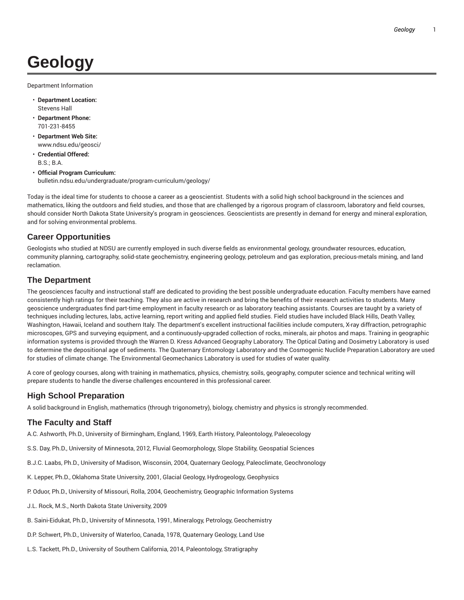# **Geology**

Department Information

- **Department Location:** Stevens Hall
- **Department Phone:** 701-231-8455
- **Department Web Site:** www.ndsu.edu/geosci/
- **Credential Offered:** B.S.; B.A.
- **Official Program Curriculum:** bulletin.ndsu.edu/undergraduate/program-curriculum/geology/

Today is the ideal time for students to choose a career as a geoscientist. Students with a solid high school background in the sciences and mathematics, liking the outdoors and field studies, and those that are challenged by a rigorous program of classroom, laboratory and field courses, should consider North Dakota State University's program in geosciences. Geoscientists are presently in demand for energy and mineral exploration, and for solving environmental problems.

## **Career Opportunities**

Geologists who studied at NDSU are currently employed in such diverse fields as environmental geology, groundwater resources, education, community planning, cartography, solid-state geochemistry, engineering geology, petroleum and gas exploration, precious-metals mining, and land reclamation.

## **The Department**

The geosciences faculty and instructional staff are dedicated to providing the best possible undergraduate education. Faculty members have earned consistently high ratings for their teaching. They also are active in research and bring the benefits of their research activities to students. Many geoscience undergraduates find part-time employment in faculty research or as laboratory teaching assistants. Courses are taught by a variety of techniques including lectures, labs, active learning, report writing and applied field studies. Field studies have included Black Hills, Death Valley, Washington, Hawaii, Iceland and southern Italy. The department's excellent instructional facilities include computers, X-ray diffraction, petrographic microscopes, GPS and surveying equipment, and a continuously-upgraded collection of rocks, minerals, air photos and maps. Training in geographic information systems is provided through the Warren D. Kress Advanced Geography Laboratory. The Optical Dating and Dosimetry Laboratory is used to determine the depositional age of sediments. The Quaternary Entomology Laboratory and the Cosmogenic Nuclide Preparation Laboratory are used for studies of climate change. The Environmental Geomechanics Laboratory is used for studies of water quality.

A core of geology courses, along with training in mathematics, physics, chemistry, soils, geography, computer science and technical writing will prepare students to handle the diverse challenges encountered in this professional career.

## **High School Preparation**

A solid background in English, mathematics (through trigonometry), biology, chemistry and physics is strongly recommended.

## **The Faculty and Staff**

A.C. Ashworth, Ph.D., University of Birmingham, England, 1969, Earth History, Paleontology, Paleoecology

- S.S. Day, Ph.D., University of Minnesota, 2012, Fluvial Geomorphology, Slope Stability, Geospatial Sciences
- B.J.C. Laabs, Ph.D., University of Madison, Wisconsin, 2004, Quaternary Geology, Paleoclimate, Geochronology
- K. Lepper, Ph.D., Oklahoma State University, 2001, Glacial Geology, Hydrogeology, Geophysics
- P. Oduor, Ph.D., University of Missouri, Rolla, 2004, Geochemistry, Geographic Information Systems
- J.L. Rock, M.S., North Dakota State University, 2009
- B. Saini-Eidukat, Ph.D., University of Minnesota, 1991, Mineralogy, Petrology, Geochemistry
- D.P. Schwert, Ph.D., University of Waterloo, Canada, 1978, Quaternary Geology, Land Use
- L.S. Tackett, Ph.D., University of Southern California, 2014, Paleontology, Stratigraphy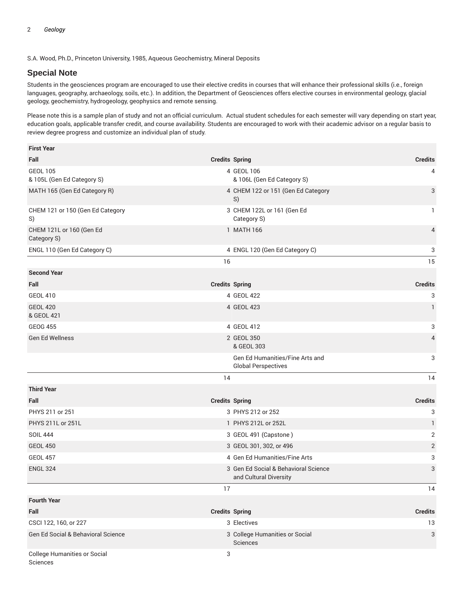S.A. Wood, Ph.D., Princeton University, 1985, Aqueous Geochemistry, Mineral Deposits

#### **Special Note**

Students in the geosciences program are encouraged to use their elective credits in courses that will enhance their professional skills (i.e., foreign languages, geography, archaeology, soils, etc.). In addition, the Department of Geosciences offers elective courses in environmental geology, glacial geology, geochemistry, hydrogeology, geophysics and remote sensing.

Please note this is a sample plan of study and not an official curriculum. Actual student schedules for each semester will vary depending on start year, education goals, applicable transfer credit, and course availability. Students are encouraged to work with their academic advisor on a regular basis to review degree progress and customize an individual plan of study.

| <b>First Year</b>                             |                                                                |                |
|-----------------------------------------------|----------------------------------------------------------------|----------------|
| Fall                                          | <b>Credits Spring</b>                                          | <b>Credits</b> |
| <b>GEOL 105</b><br>& 105L (Gen Ed Category S) | 4 GEOL 106<br>& 106L (Gen Ed Category S)                       | 4              |
| MATH 165 (Gen Ed Category R)                  | 4 CHEM 122 or 151 (Gen Ed Category<br>S)                       | 3              |
| CHEM 121 or 150 (Gen Ed Category<br>S)        | 3 CHEM 122L or 161 (Gen Ed<br>Category S)                      | 1              |
| CHEM 121L or 160 (Gen Ed<br>Category S)       | 1 MATH 166                                                     | $\overline{4}$ |
| ENGL 110 (Gen Ed Category C)                  | 4 ENGL 120 (Gen Ed Category C)                                 | 3              |
|                                               | 16                                                             | 15             |
| <b>Second Year</b>                            |                                                                |                |
| Fall                                          | <b>Credits Spring</b>                                          | <b>Credits</b> |
| <b>GEOL 410</b>                               | 4 GEOL 422                                                     | 3              |
| <b>GEOL 420</b><br>& GEOL 421                 | 4 GEOL 423                                                     | $\mathbf{1}$   |
| <b>GEOG 455</b>                               | 4 GEOL 412                                                     | 3              |
| <b>Gen Ed Wellness</b>                        | 2 GEOL 350<br>& GEOL 303                                       | 4              |
|                                               | Gen Ed Humanities/Fine Arts and<br><b>Global Perspectives</b>  | 3              |
|                                               | 14                                                             | 14             |
| <b>Third Year</b>                             |                                                                |                |
| Fall                                          |                                                                |                |
|                                               | <b>Credits Spring</b>                                          | <b>Credits</b> |
| PHYS 211 or 251                               | 3 PHYS 212 or 252                                              | 3              |
| PHYS 211L or 251L                             | 1 PHYS 212L or 252L                                            | $\mathbf{1}$   |
| <b>SOIL 444</b>                               | 3 GEOL 491 (Capstone)                                          | 2              |
| <b>GEOL 450</b>                               | 3 GEOL 301, 302, or 496                                        | $\overline{2}$ |
| <b>GEOL 457</b>                               | 4 Gen Ed Humanities/Fine Arts                                  | 3              |
| <b>ENGL 324</b>                               | 3 Gen Ed Social & Behavioral Science<br>and Cultural Diversity | 3              |
|                                               | 17                                                             | 14             |
| <b>Fourth Year</b>                            |                                                                |                |
| Fall                                          | <b>Credits Spring</b>                                          | <b>Credits</b> |
| CSCI 122, 160, or 227                         | 3 Electives                                                    | 13             |
| Gen Ed Social & Behavioral Science            | 3 College Humanities or Social<br>Sciences                     | 3              |